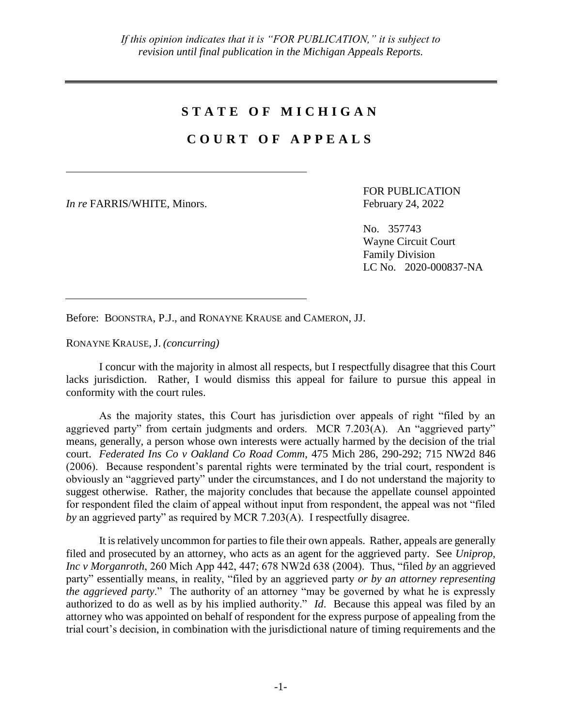## **S T A T E O F M I C H I G A N**

## **C O U R T O F A P P E A L S**

*In re* FARRIS/WHITE, Minors. February 24, 2022

FOR PUBLICATION

No. 357743 Wayne Circuit Court Family Division LC No. 2020-000837-NA

Before: BOONSTRA, P.J., and RONAYNE KRAUSE and CAMERON, JJ.

RONAYNE KRAUSE, J. *(concurring)*

I concur with the majority in almost all respects, but I respectfully disagree that this Court lacks jurisdiction. Rather, I would dismiss this appeal for failure to pursue this appeal in conformity with the court rules.

As the majority states, this Court has jurisdiction over appeals of right "filed by an aggrieved party" from certain judgments and orders. MCR 7.203(A). An "aggrieved party" means, generally, a person whose own interests were actually harmed by the decision of the trial court. *Federated Ins Co v Oakland Co Road Comm*, 475 Mich 286, 290-292; 715 NW2d 846 (2006). Because respondent's parental rights were terminated by the trial court, respondent is obviously an "aggrieved party" under the circumstances, and I do not understand the majority to suggest otherwise. Rather, the majority concludes that because the appellate counsel appointed for respondent filed the claim of appeal without input from respondent, the appeal was not "filed *by* an aggrieved party" as required by MCR 7.203(A). I respectfully disagree.

It is relatively uncommon for parties to file their own appeals. Rather, appeals are generally filed and prosecuted by an attorney, who acts as an agent for the aggrieved party. See *Uniprop, Inc v Morganroth*, 260 Mich App 442, 447; 678 NW2d 638 (2004). Thus, "filed *by* an aggrieved party" essentially means, in reality, "filed by an aggrieved party *or by an attorney representing the aggrieved party*." The authority of an attorney "may be governed by what he is expressly authorized to do as well as by his implied authority." *Id*. Because this appeal was filed by an attorney who was appointed on behalf of respondent for the express purpose of appealing from the trial court's decision, in combination with the jurisdictional nature of timing requirements and the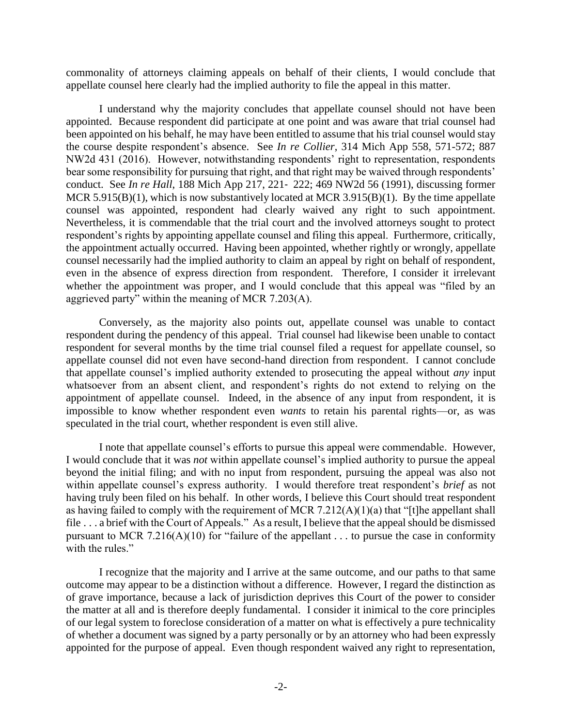commonality of attorneys claiming appeals on behalf of their clients, I would conclude that appellate counsel here clearly had the implied authority to file the appeal in this matter.

I understand why the majority concludes that appellate counsel should not have been appointed. Because respondent did participate at one point and was aware that trial counsel had been appointed on his behalf, he may have been entitled to assume that his trial counsel would stay the course despite respondent's absence. See *In re Collier*, 314 Mich App 558, 571-572; 887 NW2d 431 (2016). However, notwithstanding respondents' right to representation, respondents bear some responsibility for pursuing that right, and that right may be waived through respondents' conduct. See *In re Hall*, 188 Mich App 217, 221‐ 222; 469 NW2d 56 (1991), discussing former MCR 5.915(B)(1), which is now substantively located at MCR 3.915(B)(1). By the time appellate counsel was appointed, respondent had clearly waived any right to such appointment. Nevertheless, it is commendable that the trial court and the involved attorneys sought to protect respondent's rights by appointing appellate counsel and filing this appeal. Furthermore, critically, the appointment actually occurred. Having been appointed, whether rightly or wrongly, appellate counsel necessarily had the implied authority to claim an appeal by right on behalf of respondent, even in the absence of express direction from respondent. Therefore, I consider it irrelevant whether the appointment was proper, and I would conclude that this appeal was "filed by an aggrieved party" within the meaning of MCR 7.203(A).

Conversely, as the majority also points out, appellate counsel was unable to contact respondent during the pendency of this appeal. Trial counsel had likewise been unable to contact respondent for several months by the time trial counsel filed a request for appellate counsel, so appellate counsel did not even have second-hand direction from respondent. I cannot conclude that appellate counsel's implied authority extended to prosecuting the appeal without *any* input whatsoever from an absent client, and respondent's rights do not extend to relying on the appointment of appellate counsel. Indeed, in the absence of any input from respondent, it is impossible to know whether respondent even *wants* to retain his parental rights—or, as was speculated in the trial court, whether respondent is even still alive.

I note that appellate counsel's efforts to pursue this appeal were commendable. However, I would conclude that it was *not* within appellate counsel's implied authority to pursue the appeal beyond the initial filing; and with no input from respondent, pursuing the appeal was also not within appellate counsel's express authority. I would therefore treat respondent's *brief* as not having truly been filed on his behalf. In other words, I believe this Court should treat respondent as having failed to comply with the requirement of MCR 7.212(A)(1)(a) that "[t]he appellant shall file . . . a brief with the Court of Appeals." As a result, I believe that the appeal should be dismissed pursuant to MCR 7.216(A)(10) for "failure of the appellant  $\dots$  to pursue the case in conformity with the rules."

I recognize that the majority and I arrive at the same outcome, and our paths to that same outcome may appear to be a distinction without a difference. However, I regard the distinction as of grave importance, because a lack of jurisdiction deprives this Court of the power to consider the matter at all and is therefore deeply fundamental. I consider it inimical to the core principles of our legal system to foreclose consideration of a matter on what is effectively a pure technicality of whether a document was signed by a party personally or by an attorney who had been expressly appointed for the purpose of appeal. Even though respondent waived any right to representation,